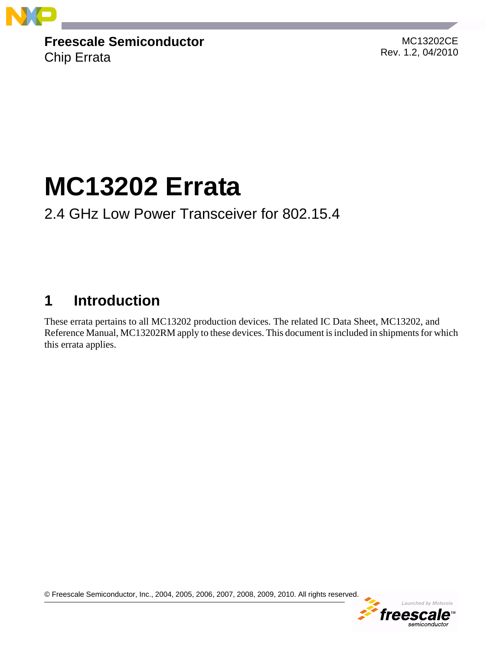

**Freescale Semiconductor** Chip Errata

MC13202CE Rev. 1.2, 04/2010

# **MC13202 Errata**

### 2.4 GHz Low Power Transceiver for 802.15.4

## **1 Introduction**

These errata pertains to all MC13202 production devices. The related IC Data Sheet, MC13202, and Reference Manual, MC13202RM apply to these devices. This document is included in shipments for which this errata applies.

© Freescale Semiconductor, Inc., 2004, 2005, 2006, 2007, 2008, 2009, 2010. All rights reserved.

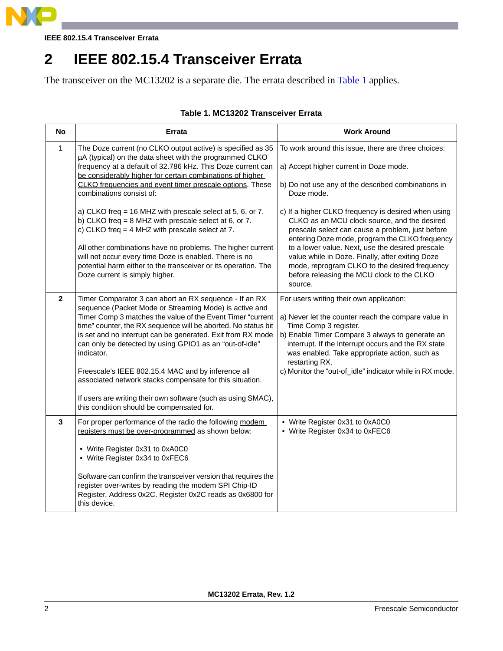

**IEEE 802.15.4 Transceiver Errata**

### **2 IEEE 802.15.4 Transceiver Errata**

The transceiver on the MC13202 is a separate die. The errata described in [Table](#page-1-0) 1 applies.

### **Table 1. MC13202 Transceiver Errata**

<span id="page-1-0"></span>

| <b>No</b>    | <b>Errata</b>                                                                                                                                                                                                                                                                                                                                                                           | <b>Work Around</b>                                                                                                                                                                                                                                                                                    |
|--------------|-----------------------------------------------------------------------------------------------------------------------------------------------------------------------------------------------------------------------------------------------------------------------------------------------------------------------------------------------------------------------------------------|-------------------------------------------------------------------------------------------------------------------------------------------------------------------------------------------------------------------------------------------------------------------------------------------------------|
| $\mathbf{1}$ | The Doze current (no CLKO output active) is specified as 35<br>µA (typical) on the data sheet with the programmed CLKO<br>frequency at a default of 32.786 kHz. This Doze current can<br>be considerably higher for certain combinations of higher                                                                                                                                      | To work around this issue, there are three choices:<br>a) Accept higher current in Doze mode.                                                                                                                                                                                                         |
|              | CLKO frequencies and event timer prescale options. These<br>combinations consist of:                                                                                                                                                                                                                                                                                                    | b) Do not use any of the described combinations in<br>Doze mode.                                                                                                                                                                                                                                      |
|              | a) CLKO freq = 16 MHZ with prescale select at 5, 6, or 7.<br>b) CLKO freq = $8$ MHZ with prescale select at $6$ , or $7$ .<br>c) CLKO freq = $4$ MHZ with prescale select at 7.                                                                                                                                                                                                         | c) If a higher CLKO frequency is desired when using<br>CLKO as an MCU clock source, and the desired<br>prescale select can cause a problem, just before<br>entering Doze mode, program the CLKO frequency                                                                                             |
|              | All other combinations have no problems. The higher current<br>will not occur every time Doze is enabled. There is no<br>potential harm either to the transceiver or its operation. The<br>Doze current is simply higher.                                                                                                                                                               | to a lower value. Next, use the desired prescale<br>value while in Doze. Finally, after exiting Doze<br>mode, reprogram CLKO to the desired frequency<br>before releasing the MCU clock to the CLKO<br>source.                                                                                        |
| $\mathbf{2}$ | Timer Comparator 3 can abort an RX sequence - If an RX<br>sequence (Packet Mode or Streaming Mode) is active and<br>Timer Comp 3 matches the value of the Event Timer "current<br>time" counter, the RX sequence will be aborted. No status bit<br>is set and no interrupt can be generated. Exit from RX mode<br>can only be detected by using GPIO1 as an "out-of-idle"<br>indicator. | For users writing their own application:<br>a) Never let the counter reach the compare value in<br>Time Comp 3 register.<br>b) Enable Timer Compare 3 always to generate an<br>interrupt. If the interrupt occurs and the RX state<br>was enabled. Take appropriate action, such as<br>restarting RX. |
|              | Freescale's IEEE 802.15.4 MAC and by inference all<br>associated network stacks compensate for this situation.                                                                                                                                                                                                                                                                          | c) Monitor the "out-of_idle" indicator while in RX mode.                                                                                                                                                                                                                                              |
|              | If users are writing their own software (such as using SMAC),<br>this condition should be compensated for.                                                                                                                                                                                                                                                                              |                                                                                                                                                                                                                                                                                                       |
| 3            | For proper performance of the radio the following modem<br>registers must be over-programmed as shown below:                                                                                                                                                                                                                                                                            | • Write Register 0x31 to 0xA0C0<br>• Write Register 0x34 to 0xFEC6                                                                                                                                                                                                                                    |
|              | • Write Register 0x31 to 0xA0C0<br>• Write Register 0x34 to 0xFEC6                                                                                                                                                                                                                                                                                                                      |                                                                                                                                                                                                                                                                                                       |
|              | Software can confirm the transceiver version that requires the<br>register over-writes by reading the modem SPI Chip-ID<br>Register, Address 0x2C. Register 0x2C reads as 0x6800 for<br>this device.                                                                                                                                                                                    |                                                                                                                                                                                                                                                                                                       |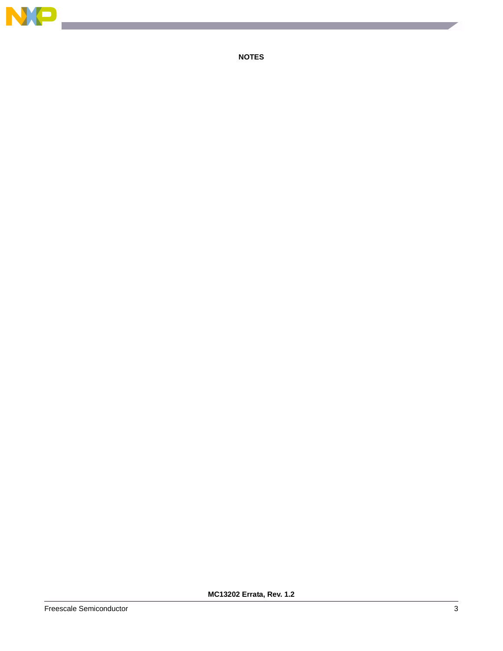

**NOTES**